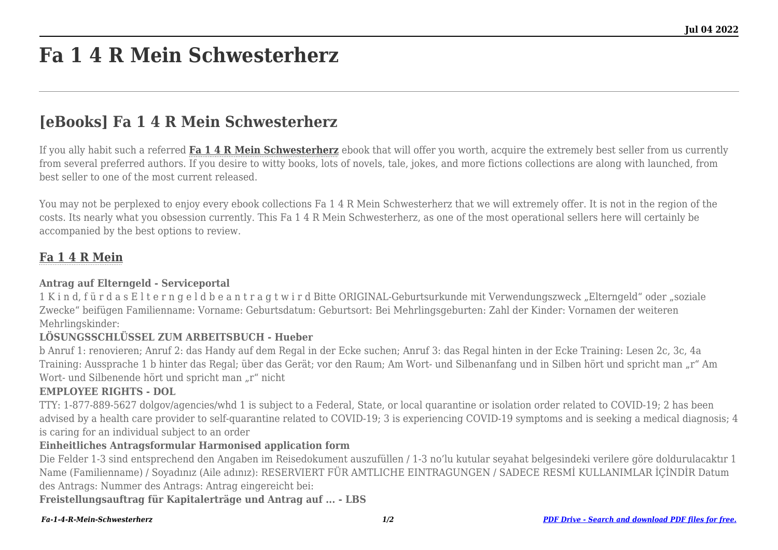# **Fa 1 4 R Mein Schwesterherz**

## **[eBooks] Fa 1 4 R Mein Schwesterherz**

If you ally habit such a referred **[Fa 1 4 R Mein Schwesterherz](http://jessicaberan.com)** ebook that will offer you worth, acquire the extremely best seller from us currently from several preferred authors. If you desire to witty books, lots of novels, tale, jokes, and more fictions collections are along with launched, from best seller to one of the most current released.

You may not be perplexed to enjoy every ebook collections Fa 1 4 R Mein Schwesterherz that we will extremely offer. It is not in the region of the costs. Its nearly what you obsession currently. This Fa 1 4 R Mein Schwesterherz, as one of the most operational sellers here will certainly be accompanied by the best options to review.

### **[Fa 1 4 R Mein](http://jessicaberan.com/Fa-1-4-R-Mein-Schwesterherz.pdf)**

#### **Antrag auf Elterngeld - Serviceportal**

1 K i n d, f ü r d a s E l t e r n g e l d b e a n t r a g t w i r d Bitte ORIGINAL-Geburtsurkunde mit Verwendungszweck "Elterngeld" oder "soziale Zwecke" beifügen Familienname: Vorname: Geburtsdatum: Geburtsort: Bei Mehrlingsgeburten: Zahl der Kinder: Vornamen der weiteren Mehrlingskinder:

#### **LÖSUNGSSCHLÜSSEL ZUM ARBEITSBUCH - Hueber**

b Anruf 1: renovieren; Anruf 2: das Handy auf dem Regal in der Ecke suchen; Anruf 3: das Regal hinten in der Ecke Training: Lesen 2c, 3c, 4a Training: Aussprache 1 b hinter das Regal; über das Gerät; vor den Raum; Am Wort- und Silbenanfang und in Silben hört und spricht man "r" Am Wort- und Silbenende hört und spricht man "r" nicht

#### **EMPLOYEE RIGHTS - DOL**

TTY: 1-877-889-5627 dolgov/agencies/whd 1 is subject to a Federal, State, or local quarantine or isolation order related to COVID-19; 2 has been advised by a health care provider to self-quarantine related to COVID-19; 3 is experiencing COVID-19 symptoms and is seeking a medical diagnosis; 4 is caring for an individual subject to an order

#### **Einheitliches Antragsformular Harmonised application form**

Die Felder 1-3 sind entsprechend den Angaben im Reisedokument auszufüllen / 1-3 no'lu kutular seyahat belgesindeki verilere göre doldurulacaktır 1 Name (Familienname) / Soyadınız (Aile adınız): RESERVIERT FÜR AMTLICHE EINTRAGUNGEN / SADECE RESMİ KULLANIMLAR İÇİNDİR Datum des Antrags: Nummer des Antrags: Antrag eingereicht bei:

**Freistellungsauftrag für Kapitalerträge und Antrag auf ... - LBS**